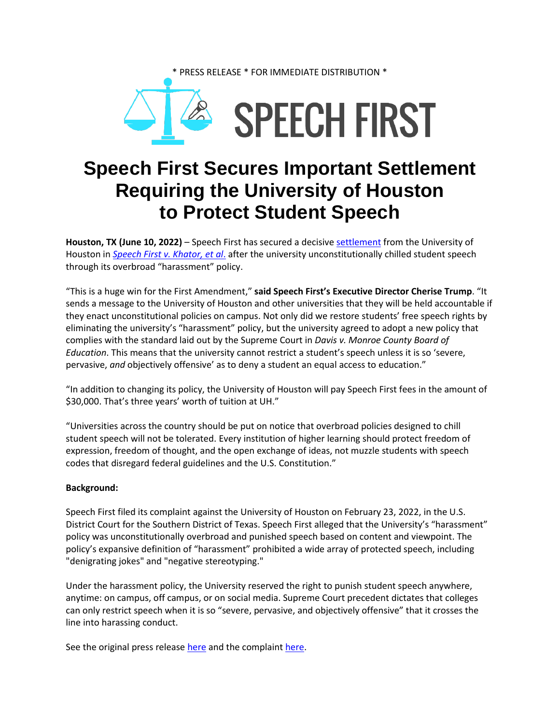



## **Speech First Secures Important Settlement Requiring the University of Houston to Protect Student Speech**

**Houston, TX (June 10, 2022)** – Speech First has secured a decisive [settlement](https://speechfirst.org/wp-content/uploads/2022/02/31_Stipulation-of-Dismissal-and-Settlement.pdf) from the University of Houston in *[Speech First v.](https://speechfirst.org/wp-content/uploads/2022/02/1_Complaint.pdf) Khator, et al*. after the university unconstitutionally chilled student speech through its overbroad "harassment" policy.

"This is a huge win for the First Amendment," **said Speech First's Executive Director Cherise Trump**. "It sends a message to the University of Houston and other universities that they will be held accountable if they enact unconstitutional policies on campus. Not only did we restore students' free speech rights by eliminating the university's "harassment" policy, but the university agreed to adopt a new policy that complies with the standard laid out by the Supreme Court in *Davis v. Monroe County Board of Education*. This means that the university cannot restrict a student's speech unless it is so 'severe, pervasive, *and* objectively offensive' as to deny a student an equal access to education."

"In addition to changing its policy, the University of Houston will pay Speech First fees in the amount of \$30,000. That's three years' worth of tuition at UH."

"Universities across the country should be put on notice that overbroad policies designed to chill student speech will not be tolerated. Every institution of higher learning should protect freedom of expression, freedom of thought, and the open exchange of ideas, not muzzle students with speech codes that disregard federal guidelines and the U.S. Constitution."

## **Background:**

Speech First filed its complaint against the University of Houston on February 23, 2022, in the U.S. District Court for the Southern District of Texas. Speech First alleged that the University's "harassment" policy was unconstitutionally overbroad and punished speech based on content and viewpoint. The policy's expansive definition of "harassment" prohibited a wide array of protected speech, including "denigrating jokes" and "negative stereotyping."

Under the harassment policy, the University reserved the right to punish student speech anywhere, anytime: on campus, off campus, or on social media. Supreme Court precedent dictates that colleges can only restrict speech when it is so "severe, pervasive, and objectively offensive" that it crosses the line into harassing conduct.

See the original press release [here](https://speechfirst.org/wp-content/uploads/2022/02/02-23-22-SF-Press-Release-on-Houston-Case-2.0.pdf) and the complaint [here.](https://speechfirst.org/wp-content/uploads/2022/02/1_Complaint.pdf)